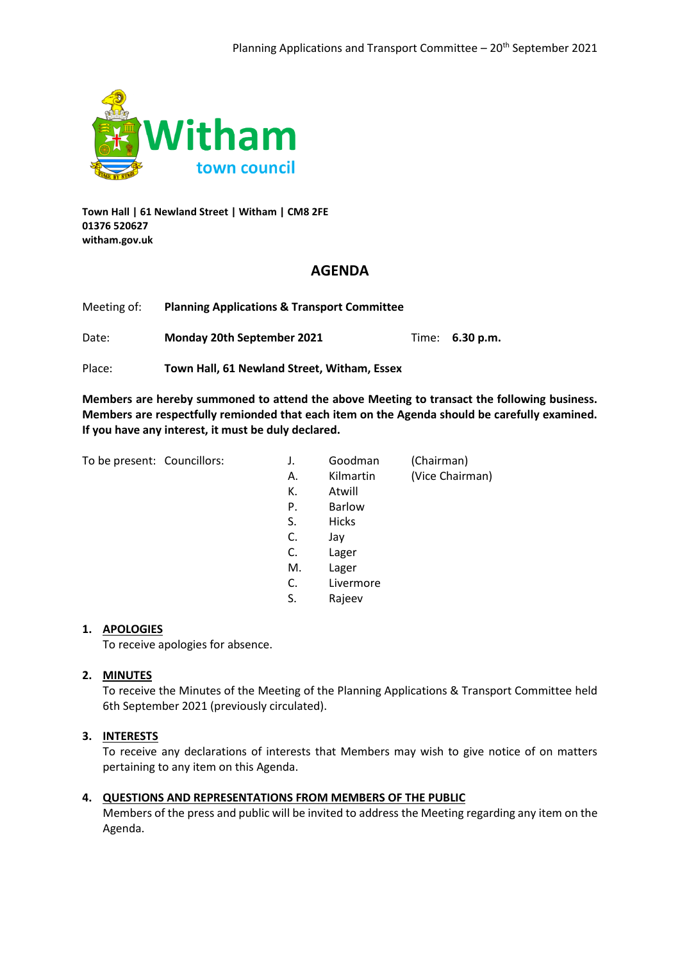

**Town Hall | 61 Newland Street | Witham | CM8 2FE 01376 520627 witham.gov.uk**

## **AGENDA**

| Meeting of: | <b>Planning Applications &amp; Transport Committee</b> |                        |
|-------------|--------------------------------------------------------|------------------------|
| Date:       | Monday 20th September 2021                             | Time: <b>6.30 p.m.</b> |

Place: **Town Hall, 61 Newland Street, Witham, Essex**

**Members are hereby summoned to attend the above Meeting to transact the following business. Members are respectfully remionded that each item on the Agenda should be carefully examined. If you have any interest, it must be duly declared.**

To be present: Councillors:

| Goodman       | (Chairman)      |
|---------------|-----------------|
| Kilmartin     | (Vice Chairman) |
| Atwill        |                 |
| <b>Barlow</b> |                 |
| Hicks         |                 |
| Jay           |                 |
| Lager         |                 |
| Lager         |                 |
| Livermore     |                 |
| Rajeev        |                 |
|               |                 |

### **1. APOLOGIES**

To receive apologies for absence.

### **2. MINUTES**

To receive the Minutes of the Meeting of the Planning Applications & Transport Committee held 6th September 2021 (previously circulated).

### **3. INTERESTS**

To receive any declarations of interests that Members may wish to give notice of on matters pertaining to any item on this Agenda.

### **4. QUESTIONS AND REPRESENTATIONS FROM MEMBERS OF THE PUBLIC**

Members of the press and public will be invited to address the Meeting regarding any item on the Agenda.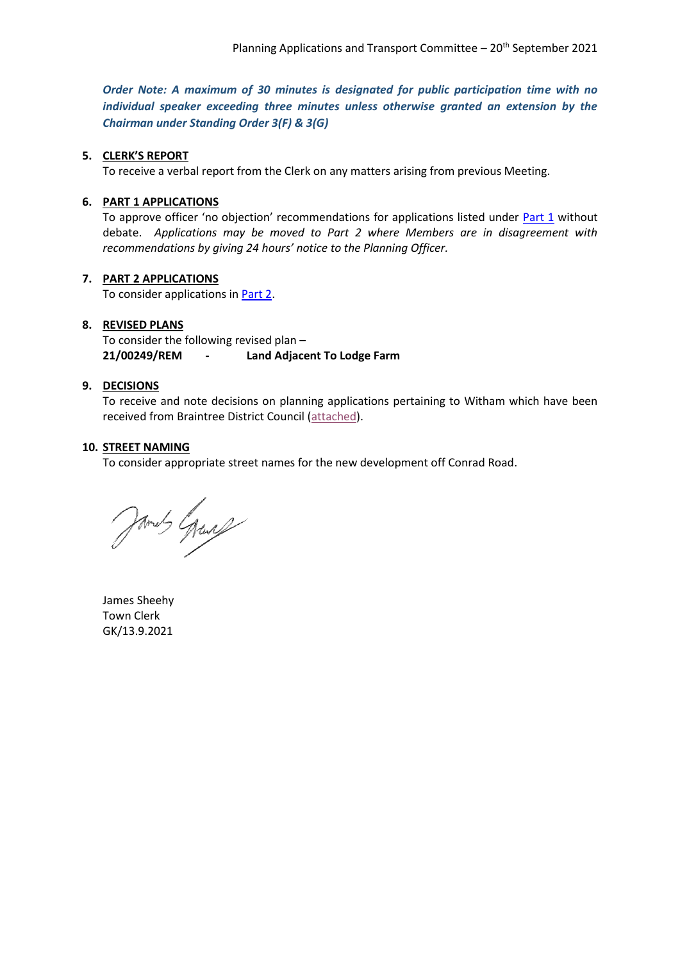<span id="page-1-0"></span>*Order Note: A maximum of 30 minutes is designated for public participation time with no individual speaker exceeding three minutes unless otherwise granted an extension by the Chairman under Standing Order 3(F) & 3(G)*

### **5. CLERK'S REPORT**

To receive a verbal report from the Clerk on any matters arising from previous Meeting.

#### **6. PART 1 APPLICATIONS**

To approve officer 'no objection' recommendations for applications listed under **[Part 1](#page-2-0)** without debate. *Applications may be moved to Part 2 where Members are in disagreement with recommendations by giving 24 hours' notice to the Planning Officer.*

### **7. PART 2 APPLICATIONS**

To consider applications i[n Part 2.](#page-3-0)

#### **8. REVISED PLANS**

To consider the following revised plan – **21/00249/REM - Land Adjacent To Lodge Farm**

### **9. DECISIONS**

To receive and note decisions on planning applications pertaining to Witham which have been received from Braintree District Council [\(attached\)](#page-10-0).

#### **10. STREET NAMING**

To consider appropriate street names for the new development off Conrad Road.

James Grand

James Sheehy Town Clerk GK/13.9.2021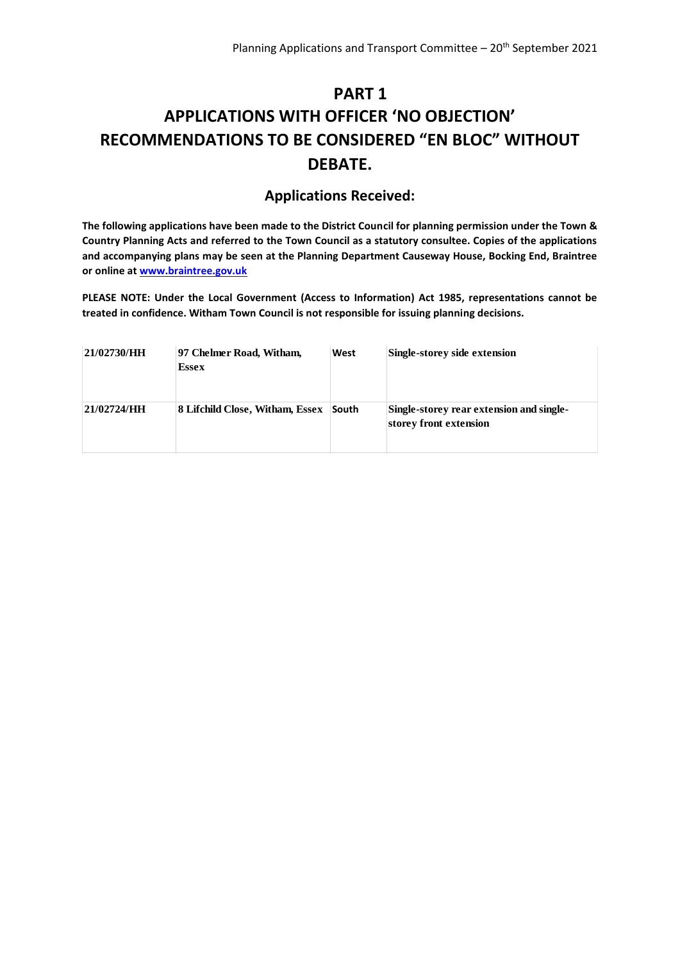## <span id="page-2-0"></span>**PART 1 APPLICATIONS WITH OFFICER 'NO OBJECTION' RECOMMENDATIONS TO BE CONSIDERED "EN BLOC" WITHOUT DEBATE.**

## **Applications Received:**

**The following applications have been made to the District Council for planning permission under the Town & Country Planning Acts and referred to the Town Council as a statutory consultee. Copies of the applications and accompanying plans may be seen at the Planning Department Causeway House, Bocking End, Braintree or online at [www.braintree.gov.uk](http://www.braintree.gov.uk/)**

**PLEASE NOTE: Under the Local Government (Access to Information) Act 1985, representations cannot be treated in confidence. Witham Town Council is not responsible for issuing planning decisions.**

| 21/02730/HH | 97 Chelmer Road, Witham,<br><b>Essex</b> | West  | Single-storey side extension                                       |
|-------------|------------------------------------------|-------|--------------------------------------------------------------------|
| 21/02724/HH | 8 Lifchild Close, Witham, Essex          | South | Single-storey rear extension and single-<br>storey front extension |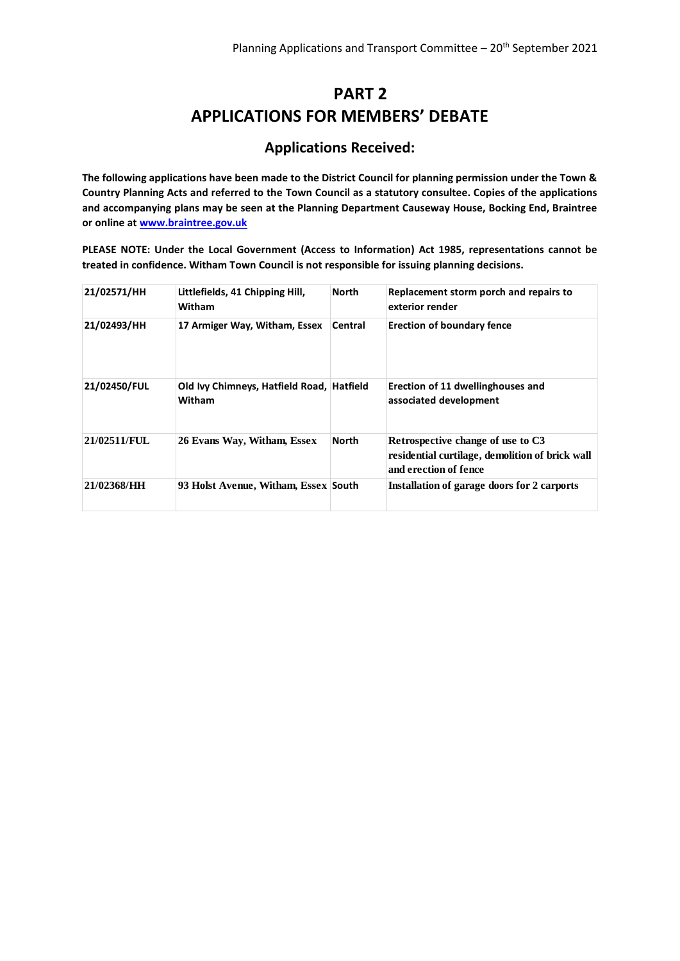## **PART 2 APPLICATIONS FOR MEMBERS' DEBATE**

## **Applications Received:**

<span id="page-3-0"></span>**The following applications have been made to the District Council for planning permission under the Town & Country Planning Acts and referred to the Town Council as a statutory consultee. Copies of the applications and accompanying plans may be seen at the Planning Department Causeway House, Bocking End, Braintree or online at [www.braintree.gov.uk](http://www.braintree.gov.uk/)**

**PLEASE NOTE: Under the Local Government (Access to Information) Act 1985, representations cannot be treated in confidence. Witham Town Council is not responsible for issuing planning decisions.**

| 21/02571/HH  | Littlefields, 41 Chipping Hill,<br>Witham           | <b>North</b> | Replacement storm porch and repairs to<br>exterior render                                                     |
|--------------|-----------------------------------------------------|--------------|---------------------------------------------------------------------------------------------------------------|
| 21/02493/HH  | 17 Armiger Way, Witham, Essex                       | Central      | <b>Erection of boundary fence</b>                                                                             |
| 21/02450/FUL | Old Ivy Chimneys, Hatfield Road, Hatfield<br>Witham |              | Erection of 11 dwellinghouses and<br>associated development                                                   |
| 21/02511/FUL | 26 Evans Way, Witham, Essex                         | <b>North</b> | Retrospective change of use to C3<br>residential curtilage, demolition of brick wall<br>and erection of fence |
| 21/02368/HH  | 93 Holst Avenue, Witham, Essex South                |              | Installation of garage doors for 2 carports                                                                   |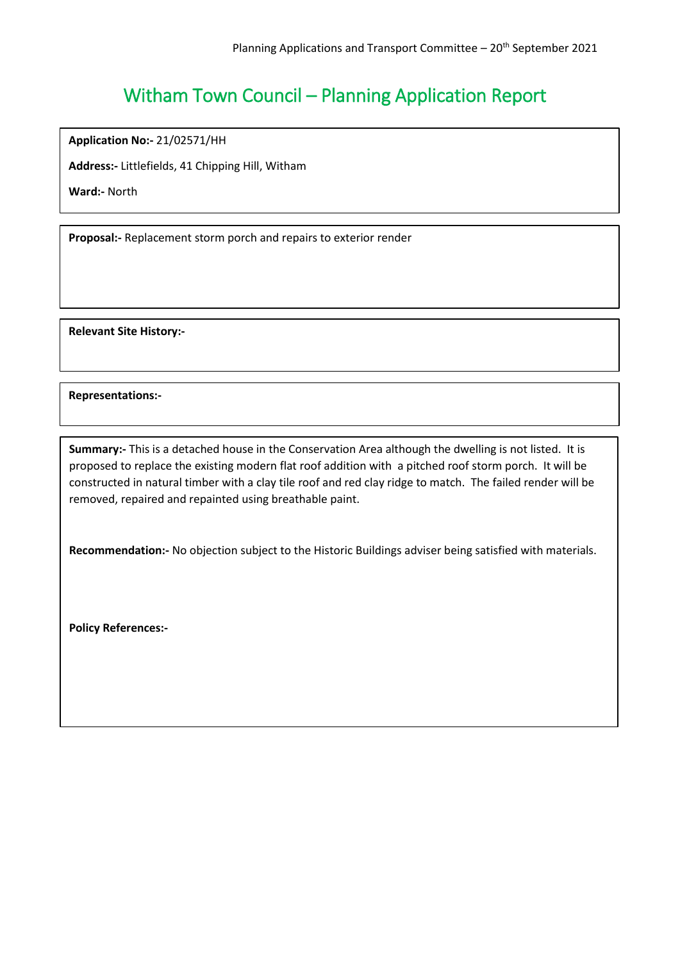**Application No:-** 21/02571/HH

**Address:-** Littlefields, 41 Chipping Hill, Witham

**Ward:-** North

**Proposal:-** Replacement storm porch and repairs to exterior render

**Relevant Site History:-**

**Representations:-**

**Summary:-** This is a detached house in the Conservation Area although the dwelling is not listed. It is proposed to replace the existing modern flat roof addition with a pitched roof storm porch. It will be constructed in natural timber with a clay tile roof and red clay ridge to match. The failed render will be removed, repaired and repainted using breathable paint.

**Recommendation:-** No objection subject to the Historic Buildings adviser being satisfied with materials.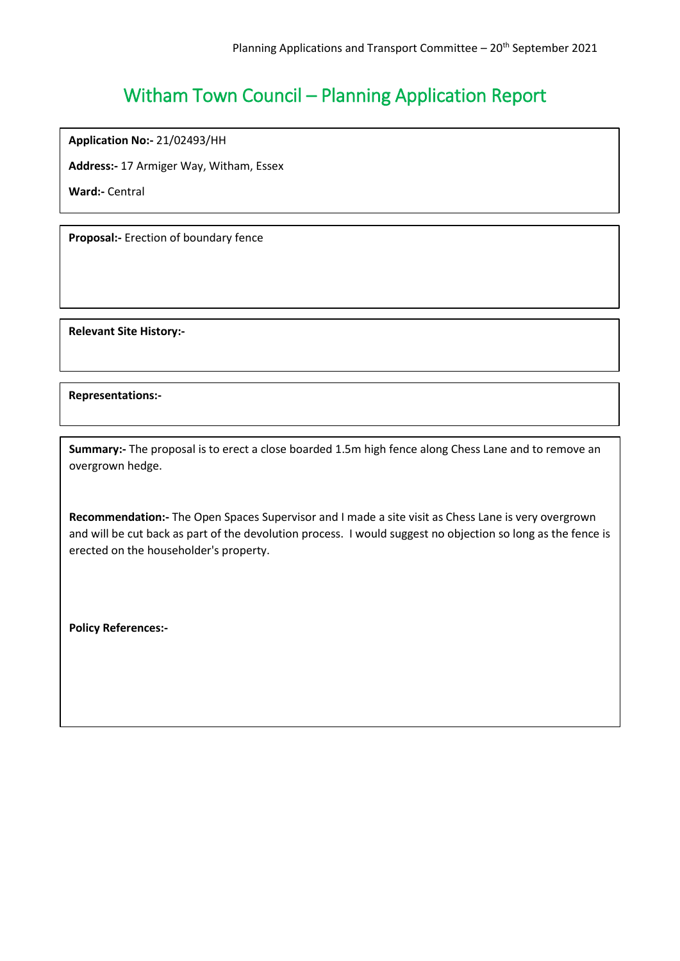**Application No:-** 21/02493/HH

**Address:-** 17 Armiger Way, Witham, Essex

**Ward:-** Central

**Proposal:-** Erection of boundary fence

**Relevant Site History:-**

**Representations:-**

**Summary:-** The proposal is to erect a close boarded 1.5m high fence along Chess Lane and to remove an overgrown hedge.

**Recommendation:-** The Open Spaces Supervisor and I made a site visit as Chess Lane is very overgrown and will be cut back as part of the devolution process. I would suggest no objection so long as the fence is erected on the householder's property.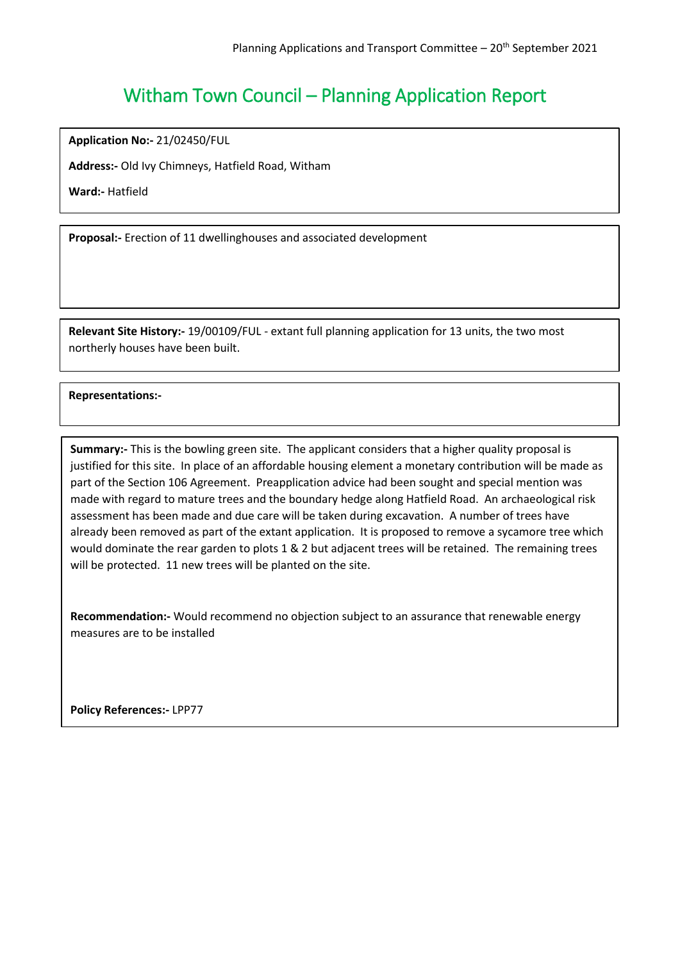**Application No:-** 21/02450/FUL

**Address:-** Old Ivy Chimneys, Hatfield Road, Witham

**Ward:-** Hatfield

**Proposal:-** Erection of 11 dwellinghouses and associated development

**Relevant Site History:-** 19/00109/FUL - extant full planning application for 13 units, the two most northerly houses have been built.

## **Representations:-**

ׇֺ֝֬֡

**Summary:-** This is the bowling green site. The applicant considers that a higher quality proposal is justified for this site. In place of an affordable housing element a monetary contribution will be made as part of the Section 106 Agreement. Preapplication advice had been sought and special mention was made with regard to mature trees and the boundary hedge along Hatfield Road. An archaeological risk assessment has been made and due care will be taken during excavation. A number of trees have already been removed as part of the extant application. It is proposed to remove a sycamore tree which would dominate the rear garden to plots 1 & 2 but adjacent trees will be retained. The remaining trees will be protected. 11 new trees will be planted on the site.

**Recommendation:-** Would recommend no objection subject to an assurance that renewable energy measures are to be installed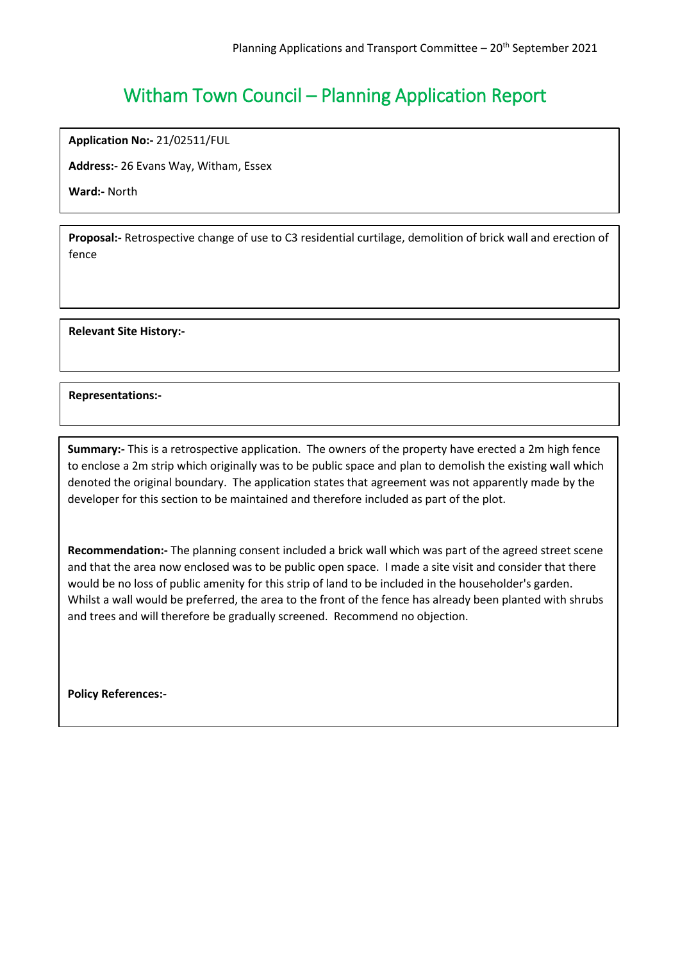**Application No:-** 21/02511/FUL

**Address:-** 26 Evans Way, Witham, Essex

**Ward:-** North

**Proposal:-** Retrospective change of use to C3 residential curtilage, demolition of brick wall and erection of fence

**Relevant Site History:-**

**Representations:-**

**Summary:-** This is a retrospective application. The owners of the property have erected a 2m high fence to enclose a 2m strip which originally was to be public space and plan to demolish the existing wall which denoted the original boundary. The application states that agreement was not apparently made by the developer for this section to be maintained and therefore included as part of the plot.

**Recommendation:-** The planning consent included a brick wall which was part of the agreed street scene and that the area now enclosed was to be public open space. I made a site visit and consider that there would be no loss of public amenity for this strip of land to be included in the householder's garden. Whilst a wall would be preferred, the area to the front of the fence has already been planted with shrubs and trees and will therefore be gradually screened. Recommend no objection.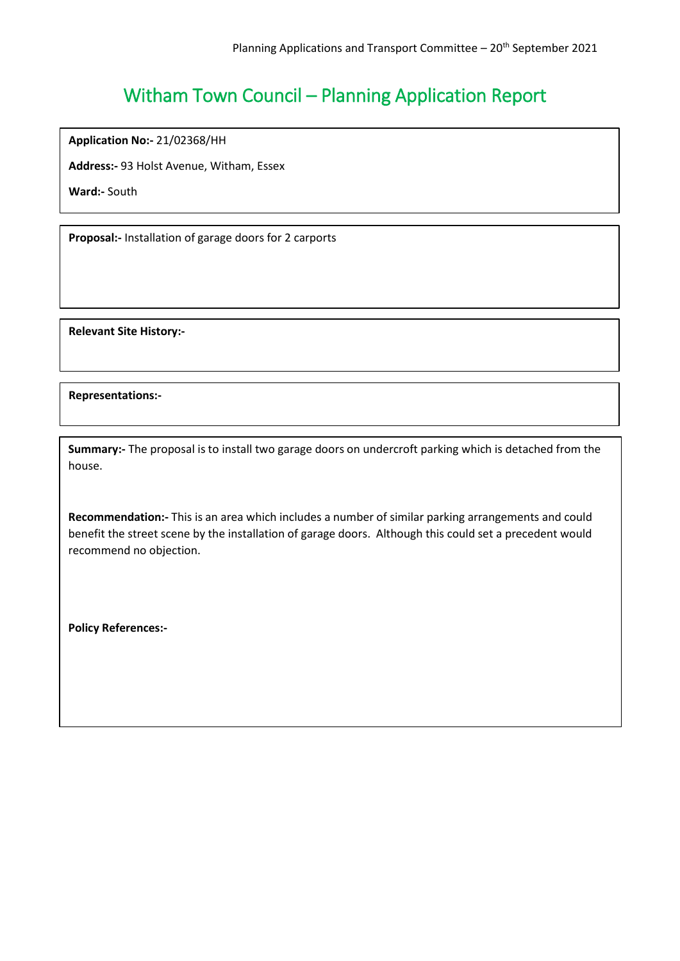**Application No:-** 21/02368/HH

**Address:-** 93 Holst Avenue, Witham, Essex

**Ward:-** South

**Proposal:-** Installation of garage doors for 2 carports

**Relevant Site History:-**

**Representations:-**

**Summary:-** The proposal is to install two garage doors on undercroft parking which is detached from the house.

**Recommendation:-** This is an area which includes a number of similar parking arrangements and could benefit the street scene by the installation of garage doors. Although this could set a precedent would recommend no objection.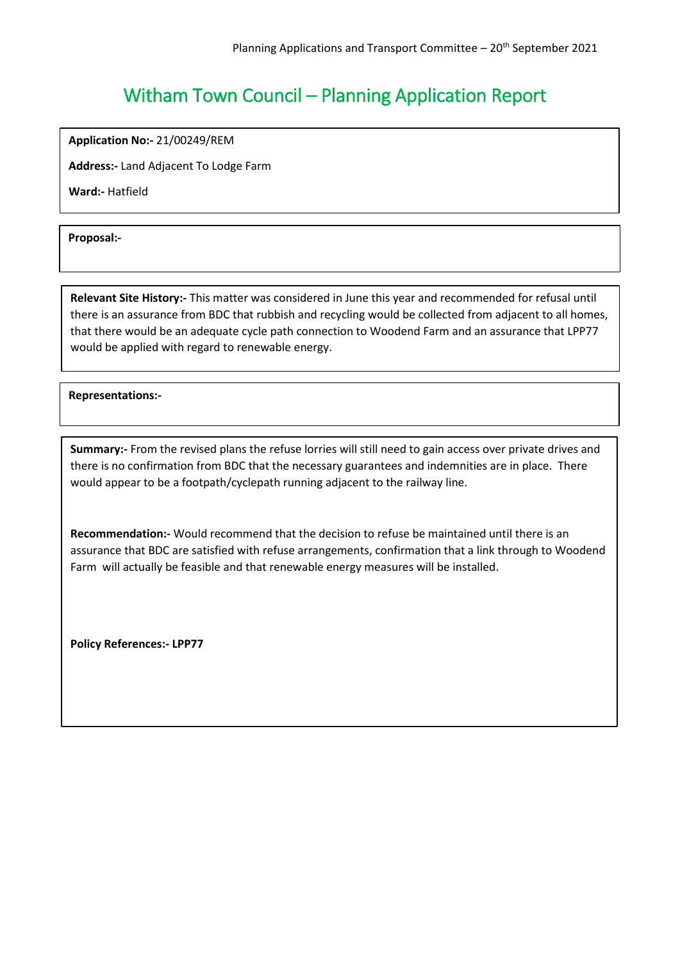**Application No:-** 21/00249/REM

**Address:-** Land Adjacent To Lodge Farm

**Ward:-** Hatfield

**Proposal:-**

**Relevant Site History:-** This matter was considered in June this year and recommended for refusal until there is an assurance from BDC that rubbish and recycling would be collected from adjacent to all homes, that there would be an adequate cycle path connection to Woodend Farm and an assurance that LPP77 would be applied with regard to renewable energy.

֞ **Representations:-**

**Summary:-** From the revised plans the refuse lorries will still need to gain access over private drives and there is no confirmation from BDC that the necessary guarantees and indemnities are in place. There would appear to be a footpath/cyclepath running adjacent to the railway line.

**Recommendation:-** Would recommend that the decision to refuse be maintained until there is an assurance that BDC are satisfied with refuse arrangements, confirmation that a link through to Woodend Farm will actually be feasible and that renewable energy measures will be installed.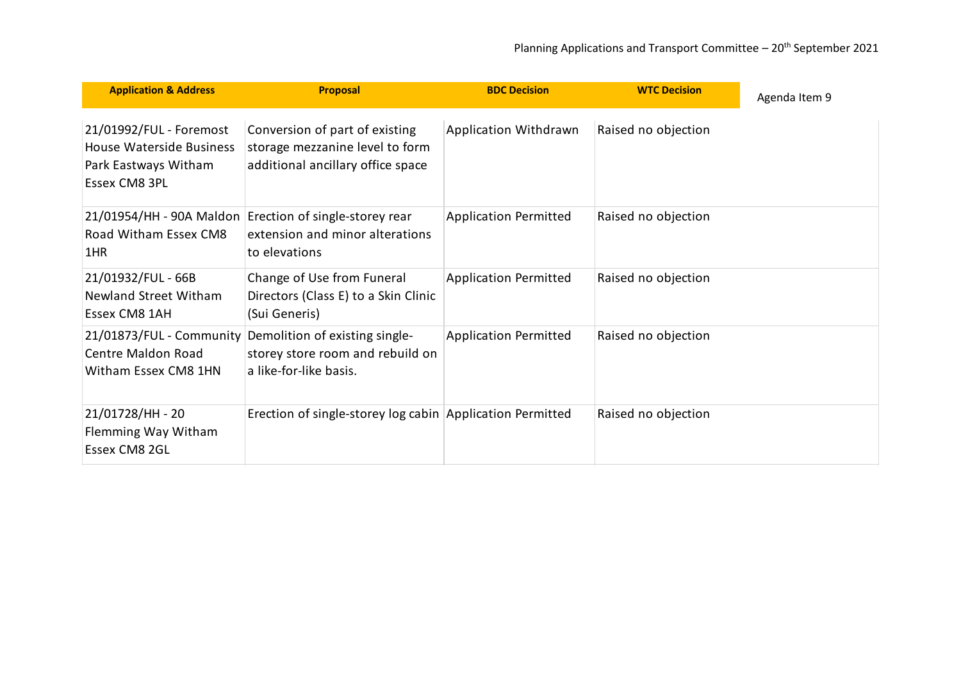<span id="page-10-0"></span>

| <b>Application &amp; Address</b>                                                             | <b>Proposal</b>                                                                                             | <b>BDC Decision</b>          | <b>WTC Decision</b> | Agenda Item 9 |
|----------------------------------------------------------------------------------------------|-------------------------------------------------------------------------------------------------------------|------------------------------|---------------------|---------------|
| 21/01992/FUL - Foremost<br>House Waterside Business<br>Park Eastways Witham<br>Essex CM8 3PL | Conversion of part of existing<br>storage mezzanine level to form<br>additional ancillary office space      | Application Withdrawn        | Raised no objection |               |
| Road Witham Essex CM8<br>1HR                                                                 | 21/01954/HH - 90A Maldon Erection of single-storey rear<br>extension and minor alterations<br>to elevations | <b>Application Permitted</b> | Raised no objection |               |
| 21/01932/FUL - 66B<br><b>Newland Street Witham</b><br>Essex CM8 1AH                          | Change of Use from Funeral<br>Directors (Class E) to a Skin Clinic<br>(Sui Generis)                         | <b>Application Permitted</b> | Raised no objection |               |
| 21/01873/FUL - Community<br><b>Centre Maldon Road</b><br>Witham Essex CM8 1HN                | Demolition of existing single-<br>storey store room and rebuild on<br>a like-for-like basis.                | <b>Application Permitted</b> | Raised no objection |               |
| 21/01728/HH - 20<br>Flemming Way Witham<br>Essex CM8 2GL                                     | Erection of single-storey log cabin Application Permitted                                                   |                              | Raised no objection |               |